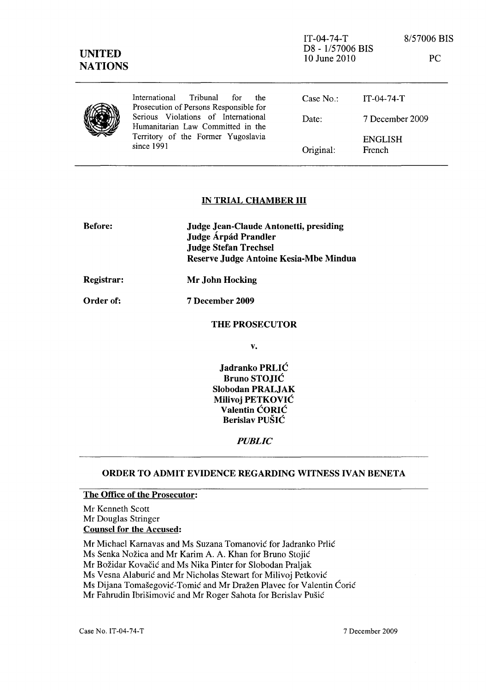| <b>UNITED</b><br><b>NATIONS</b> |                                                                                   | $IT-04-74-T$<br>D8 - 1/57006 BIS<br>10 June 2010 | 8/57006 BIS<br>PC        |
|---------------------------------|-----------------------------------------------------------------------------------|--------------------------------------------------|--------------------------|
|                                 | International<br>Tribunal<br>for<br>the<br>Prosecution of Persons Responsible for | Case $No$ :                                      | $IT-04-74-T$             |
|                                 | Serious Violations of International<br>Humanitarian Law Committed in the          | Date:                                            | 7 December 2009          |
|                                 | Territory of the Former Yugoslavia<br>since $1991$                                | Original:                                        | <b>ENGLISH</b><br>French |

## IN TRIAL CHAMBER III

| <b>Before:</b>    | Judge Jean-Claude Antonetti, presiding<br>Judge Árpád Prandler<br><b>Judge Stefan Trechsel</b><br>Reserve Judge Antoine Kesia-Mbe Mindua |  |
|-------------------|------------------------------------------------------------------------------------------------------------------------------------------|--|
| <b>Registrar:</b> | Mr John Hocking                                                                                                                          |  |
| <b>Order of:</b>  | <b>7 December 2009</b>                                                                                                                   |  |
|                   | <b>THE PROSECUTOR</b>                                                                                                                    |  |

v.

Jadranko PRLIC Bruno STOJIC Slobodan PRALJAK Milivoj PETKOVIC Valentin CORIC Berislav PUSIC

#### *PUBLIC*

## ORDER TO ADMIT EVIDENCE REGARDING WITNESS IVAN BENETA

## The Office of the Prosecutor:

Mr Kenneth Scott Mr Douglas Stringer Counsel for the Accused:

Mr Michael Karnavas and Ms Suzana Tomanović for Jadranko Prlić

Ms Senka Nožica and Mr Karim A. A. Khan for Bruno Stojić

Mr Božidar Kovačić and Ms Nika Pinter for Slobodan Praljak

Ms Vesna Alaburić and Mr Nicholas Stewart for Milivoj Petković

Ms Dijana Tomašegović-Tomić and Mr Dražen Plavec for Valentin Ćorić

Mr Fahrudin Ibrišimović and Mr Roger Sahota for Berislav Pušić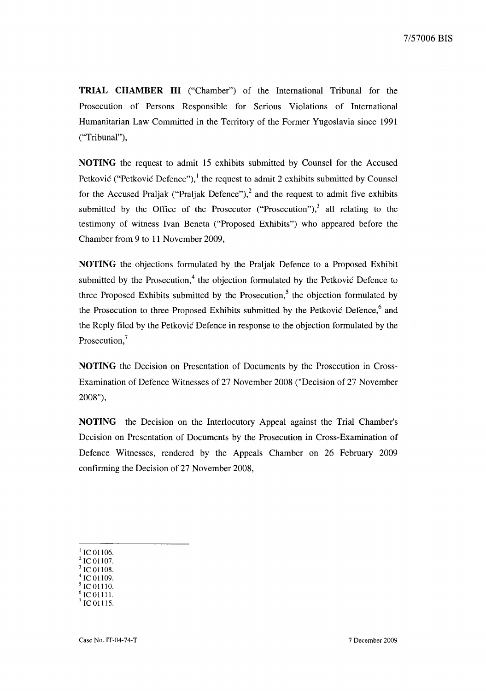**TRIAL CHAMBER III** ("Chamber") of the International Tribunal for the Prosecution of Persons Responsible for Serious Violations of International Humanitarian Law Committed in the Territory of the Former Yugoslavia since 1991 ("Tribunal"),

**NOTING** the request to admit 15 exhibits submitted by Counsel for the Accused Petković ("Petković Defence"),<sup>1</sup> the request to admit 2 exhibits submitted by Counsel for the Accused Praljak ("Praljak Defence"),<sup>2</sup> and the request to admit five exhibits submitted by the Office of the Prosecutor ("Prosecution"), $3$  all relating to the testimony of witness Ivan Beneta ("Proposed Exhibits") who appeared before the Chamber from 9 to 11 November 2009,

**NOTING** the objections formulated by the Praljak Defence to a Proposed Exhibit submitted by the Prosecution, $4$  the objection formulated by the Petković Defence to three Proposed Exhibits submitted by the Prosecution,<sup>5</sup> the objection formulated by the Prosecution to three Proposed Exhibits submitted by the Petkovic Defence, $6$  and the Reply filed by the Petkovic Defence in response to the objection formulated by the Prosecution,<sup>7</sup>

**NOTING** the Decision on Presentation of Documents by the Prosecution in Cross-Examination of Defence Witnesses of 27 November 2008 ("Decision of 27 November 2008"),

**NOTING** the Decision on the Interlocutory Appeal against the Trial Chamber's Decision on Presentation of Documents by the Prosecution in Cross-Examination of Defence Witnesses, rendered by the Appeals Chamber on 26 February 2009 confirming the Decision of 27 November 2008,

- IC 01106.
- IC 01107.
- <sup>3</sup>le 01108.  $4$  IC 01109.
- 5 le 01110.
- IC 01111.
- IC 01115.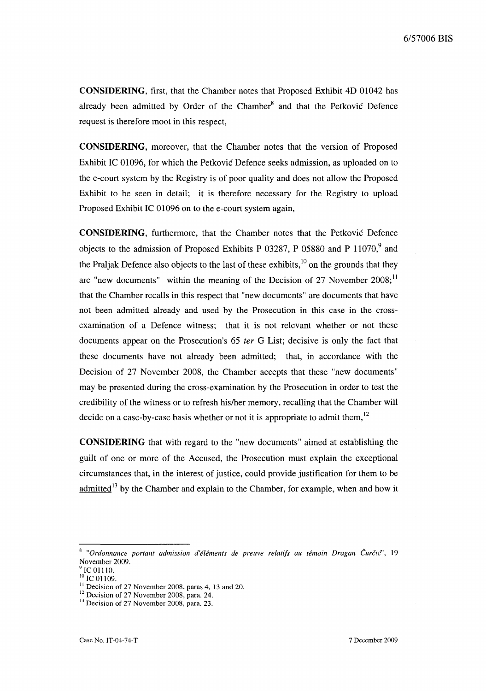**CONSIDERING,** first, that the Chamber notes that Proposed Exhibit 4D 01042 has already been admitted by Order of the Chamber<sup>8</sup> and that the Petković Defence request is therefore moot in this respect,

**CONSIDERING,** moreover, that the Chamber notes that the version of Proposed Exhibit IC 01096, for which the Petkovic Defence seeks admission, as uploaded on to the e-court system by the Registry is of poor quality and does not allow the Proposed Exhibit to be seen in detail; it is therefore necessary for the Registry to upload Proposed Exhibit IC 01096 on to the e-court system again,

**CONSIDERING,** furthermore, that the Chamber notes that the Petkovic Defence objects to the admission of Proposed Exhibits P 03287, P 05880 and P 11070,<sup>9</sup> and the Praljak Defence also objects to the last of these exhibits,<sup>10</sup> on the grounds that they are "new documents" within the meaning of the Decision of 27 November  $2008$ ;<sup>11</sup> that the Chamber recalls in this respect that "new documents" are documents that have not been admitted already and used by the Prosecution in this case in the crossexamination of a Defence witness; that it is not relevant whether or not these documents appear on the Prosecution's 65 *ter* G List; decisive is only the fact that these documents have not already been admitted; that, in accordance with the Decision of 27 November 2008, the Chamber accepts that these "new documents" may be presented during the cross-examination by the Prosecution in order to test the credibility of the witness or to refresh hislher memory, recalling that the Chamber will decide on a case-by-case basis whether or not it is appropriate to admit them,  $12$ 

**CONSIDERING** that with regard to the "new documents" aimed at establishing the guilt of one or more of the Accused, the Prosecution must explain the exceptional circumstances that, in the interest of justice, could provide justification for them to be  $admitted$ <sup>13</sup> by the Chamber and explain to the Chamber, for example, when and how it

<sup>&</sup>lt;sup>8</sup> "Ordonnance portant admission d'éléments de preuve relatifs au témoin Dragan Čurčic", 19 November 2009.

IC 01110.

 $10^{10}$  IC 01109.

 $11$  Decision of 27 November 2008, paras 4, 13 and 20.

 $12$  Decision of 27 November 2008, para. 24.

<sup>&</sup>lt;sup>13</sup> Decision of 27 November 2008, para. 23.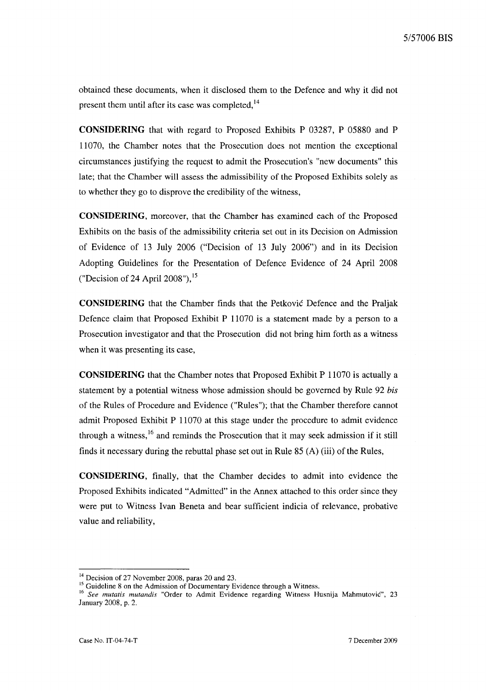obtained these documents, when it disclosed them to the Defence and why it did not present them until after its case was completed, $14$ 

**CONSIDERING** that with regard to Proposed Exhibits P 03287, P 05880 and P 11070, the Chamber notes that the Prosecution does not mention the exceptional circumstances justifying the request to admit the Prosecution's "new documents" this late; that the Chamber will assess the admissibility of the Proposed Exhibits solely as to whether they go to disprove the credibility of the witness,

**CONSIDERING,** moreover, that the Chamber has examined each of the Proposed Exhibits on the basis of the admissibility criteria set out in its Decision on Admission of Evidence of 13 July 2006 ("Decision of 13 July 2006") and in its Decision Adopting Guidelines for the Presentation of Defence Evidence of 24 April 2008 ("Decision of 24 April 2008"), $^{15}$ 

**CONSIDERING** that the Chamber finds that the Petkovic Defence and the Praljak Defence claim that Proposed Exhibit P 11070 is a statement made by a person to a Prosecution investigator and that the Prosecution did not bring him forth as a witness when it was presenting its case,

**CONSIDERING** that the Chamber notes that Proposed Exhibit P 11070 is actually a statement by a potential witness whose admission should be governed by Rule 92 *his*  of the Rules of Procedure and Evidence ("Rules"); that the Chamber therefore cannot admit Proposed Exhibit P 11070 at this stage under the procedure to admit evidence through a witness,<sup>16</sup> and reminds the Prosecution that it may seek admission if it still finds it necessary during the rebuttal phase set out in Rule 85 (A) (iii) of the Rules,

**CONSIDERING,** finally, that the Chamber decides to admit into evidence the Proposed Exhibits indicated "Admitted" in the Annex attached to this order since they were put to Witness Ivan Beneta and bear sufficient indicia of relevance, probative value and reliability,

<sup>&</sup>lt;sup>14</sup> Decision of 27 November 2008, paras 20 and 23.

<sup>&</sup>lt;sup>15</sup> Guideline 8 on the Admission of Documentary Evidence through a Witness.

<sup>&</sup>lt;sup>16</sup> See mutatis mutandis "Order to Admit Evidence regarding Witness Husnija Mahmutović", 23 January 2008, p. 2.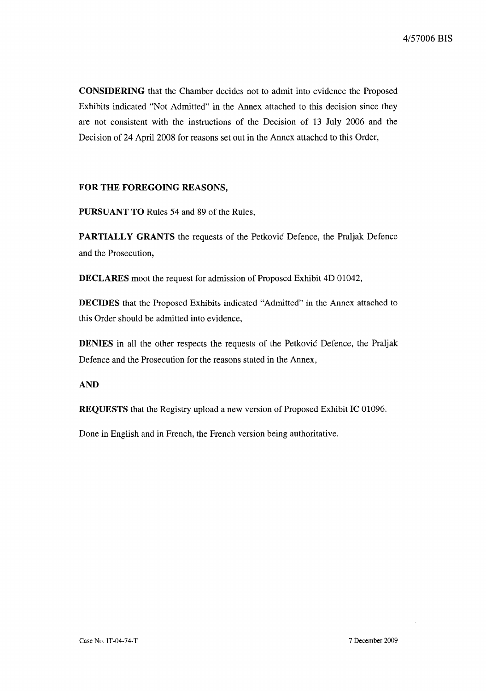**CONSIDERING** that the Chamber decides not to admit into evidence the Proposed Exhibits indicated "Not Admitted" in the Annex attached to this decision since they are not consistent with the instructions of the Decision of 13 July 2006 and the Decision of 24 April 2008 for reasons set out in the Annex attached to this Order,

## **FOR THE FOREGOING REASONS,**

**PURSUANT TO** Rules 54 and 89 of the Rules,

**PARTIALLY GRANTS** the requests of the Petkovic Defence, the Praljak Defence and the Prosecution,

**DECLARES** moot the request for admission of Proposed Exhibit 4D 01042,

**DECIDES** that the Proposed Exhibits indicated "Admitted" in the Annex attached to this Order should be admitted into evidence,

**DENIES** in all the other respects the requests of the Petkovic Defence, the Praljak Defence and the Prosecution for the reasons stated in the Annex,

# **AND**

**REQUESTS** that the Registry upload a new version of Proposed Exhibit IC 01096.

Done in English and in French, the French version being authoritative.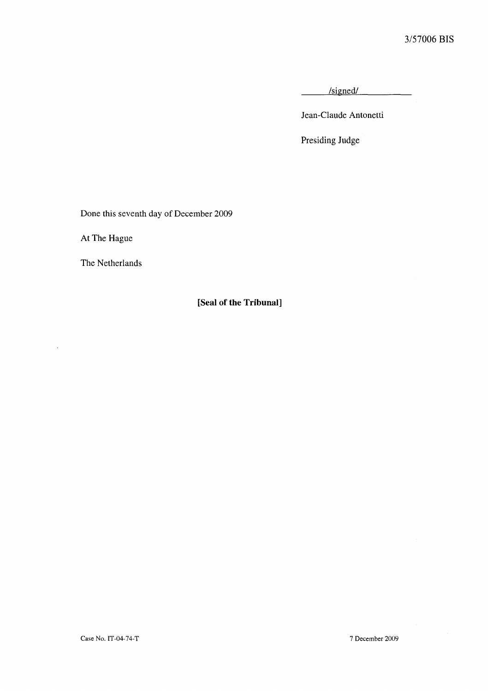/signed/

Jean-Claude Antonetti

Presiding Judge

Done this seventh day of December 2009

At The Hague

 $\mathcal{A}$ 

The Netherlands

**[Seal of the Tribunal]**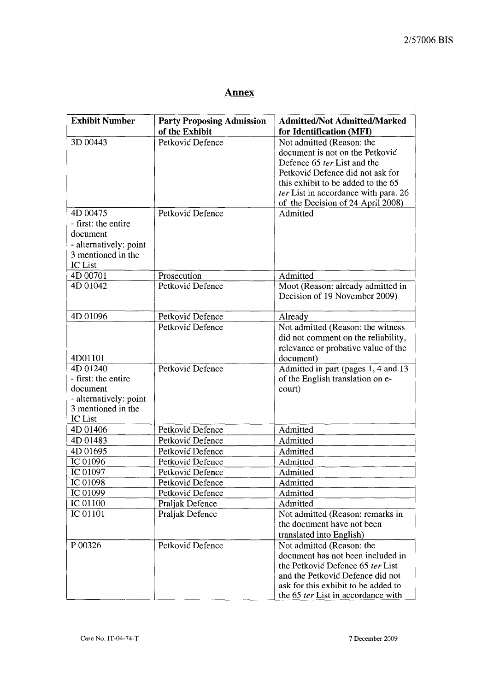# **Annex**

| <b>Exhibit Number</b>  | <b>Party Proposing Admission</b> | <b>Admitted/Not Admitted/Marked</b>                                     |
|------------------------|----------------------------------|-------------------------------------------------------------------------|
|                        | of the Exhibit                   | for Identification (MFI)                                                |
| 3D 00443               | Petković Defence                 | Not admitted (Reason: the                                               |
|                        |                                  | document is not on the Petković                                         |
|                        |                                  | Defence 65 ter List and the                                             |
|                        |                                  | Petković Defence did not ask for                                        |
|                        |                                  | this exhibit to be added to the 65                                      |
|                        |                                  | ter List in accordance with para. 26                                    |
|                        |                                  | of the Decision of 24 April 2008)                                       |
| 4D 00475               | Petković Defence                 | Admitted                                                                |
| - first: the entire    |                                  |                                                                         |
| document               |                                  |                                                                         |
| - alternatively: point |                                  |                                                                         |
| 3 mentioned in the     |                                  |                                                                         |
| <b>IC</b> List         |                                  |                                                                         |
| 4D 00701               | Prosecution                      | Admitted                                                                |
| 4D 01042               | Petković Defence                 | Moot (Reason: already admitted in                                       |
|                        |                                  | Decision of 19 November 2009)                                           |
|                        |                                  |                                                                         |
| 4D 01096               | Petković Defence                 | Already                                                                 |
|                        | Petković Defence                 | Not admitted (Reason: the witness                                       |
|                        |                                  | did not comment on the reliability,                                     |
|                        |                                  | relevance or probative value of the                                     |
| 4D01101<br>4D 01240    | Petković Defence                 | document)                                                               |
| - first: the entire    |                                  | Admitted in part (pages 1, 4 and 13<br>of the English translation on e- |
| document               |                                  | court)                                                                  |
| - alternatively: point |                                  |                                                                         |
| 3 mentioned in the     |                                  |                                                                         |
| IC List                |                                  |                                                                         |
| 4D 01406               | Petković Defence                 | Admitted                                                                |
| 4D 01483               | Petković Defence                 | Admitted                                                                |
| 4D 01695               | Petković Defence                 | Admitted                                                                |
| IC 01096               | Petković Defence                 | Admitted                                                                |
| IC 01097               | Petković Defence                 | Admitted                                                                |
| IC 01098               | Petković Defence                 | Admitted                                                                |
| IC 01099               | Petković Defence                 | Admitted                                                                |
| IC 01100               | Praljak Defence                  | Admitted                                                                |
| IC 01101               | Praljak Defence                  | Not admitted (Reason: remarks in                                        |
|                        |                                  | the document have not been                                              |
|                        |                                  | translated into English)                                                |
| P 00326                | Petković Defence                 | Not admitted (Reason: the                                               |
|                        |                                  | document has not been included in                                       |
|                        |                                  | the Petković Defence 65 ter List                                        |
|                        |                                  | and the Petković Defence did not                                        |
|                        |                                  | ask for this exhibit to be added to                                     |
|                        |                                  | the 65 ter List in accordance with                                      |